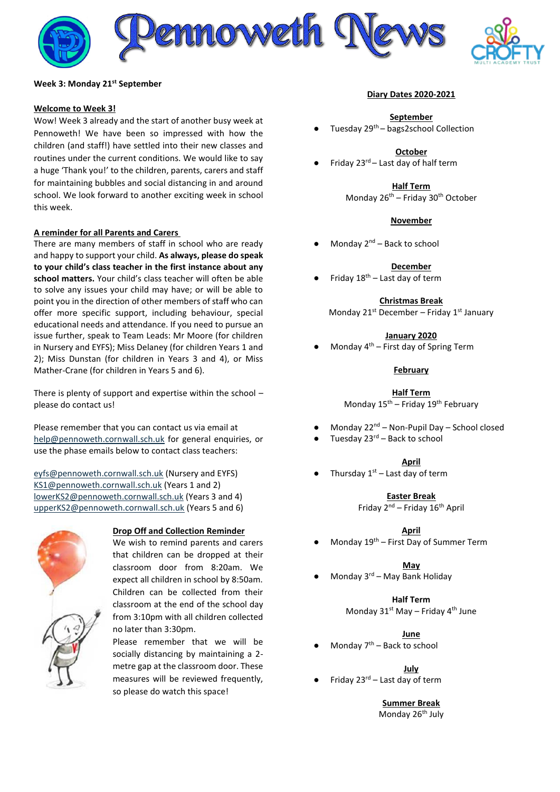

## **Week 3: Monday 21st September**

## **Welcome to Week 3!**

Wow! Week 3 already and the start of another busy week at Pennoweth! We have been so impressed with how the children (and staff!) have settled into their new classes and routines under the current conditions. We would like to say a huge 'Thank you!' to the children, parents, carers and staff for maintaining bubbles and social distancing in and around school. We look forward to another exciting week in school this week.

## **A reminder for all Parents and Carers**

There are many members of staff in school who are ready and happy to support your child. **As always, please do speak to your child's class teacher in the first instance about any school matters.** Your child's class teacher will often be able to solve any issues your child may have; or will be able to point you in the direction of other members of staff who can offer more specific support, including behaviour, special educational needs and attendance. If you need to pursue an issue further, speak to Team Leads: Mr Moore (for children in Nursery and EYFS); Miss Delaney (for children Years 1 and 2); Miss Dunstan (for children in Years 3 and 4), or Miss Mather-Crane (for children in Years 5 and 6).

There is plenty of support and expertise within the school – please do contact us!

Please remember that you can contact us via email at [help@pennoweth.cornwall.sch.uk](mailto:help@pennoweth.cornwall.sch.uk) for general enquiries, or use the phase emails below to contact class teachers:

[eyfs@pennoweth.cornwall.sch.uk](mailto:eyfs@pennoweth.cornwall.sch.uk) (Nursery and EYFS) [KS1@pennoweth.cornwall.sch.uk](mailto:KS1@pennoweth.cornwall.sch.uk) (Years 1 and 2) [lowerKS2@pennoweth.cornwall.sch.uk](mailto:lowerKS2@pennoweth.cornwall.sch.uk) (Years 3 and 4) [upperKS2@pennoweth.cornwall.sch.uk](mailto:upperKS2@pennoweth.cornwall.sch.uk) (Years 5 and 6)



# **Drop Off and Collection Reminder**

We wish to remind parents and carers that children can be dropped at their classroom door from 8:20am. We expect all children in school by 8:50am. Children can be collected from their classroom at the end of the school day from 3:10pm with all children collected no later than 3:30pm.

Please remember that we will be socially distancing by maintaining a 2 metre gap at the classroom door. These measures will be reviewed frequently, so please do watch this space!

### **Diary Dates 2020-2021**

### **September**

Tuesday 29<sup>th</sup> – bags2school Collection

### **October**

Friday  $23^{rd}$  – Last day of half term

**Half Term** Monday 26<sup>th</sup> – Friday 30<sup>th</sup> October

### **November**

Monday  $2^{nd}$  – Back to school

#### **December**

Friday  $18<sup>th</sup>$  – Last day of term

**Christmas Break**

Monday  $21^{st}$  December – Friday  $1^{st}$  January

## **January 2020**

Monday  $4<sup>th</sup>$  – First day of Spring Term

## **February**

**Half Term** Monday 15<sup>th</sup> – Friday 19<sup>th</sup> February

- Monday 22<sup>nd</sup> Non-Pupil Day School closed
- Tuesday  $23<sup>rd</sup>$  Back to school

#### **April**

• Thursday  $1<sup>st</sup>$  – Last day of term

**Easter Break**

Friday 2nd – Friday 16th April

**April**

Monday  $19<sup>th</sup>$  – First Day of Summer Term

**May**

Monday  $3<sup>rd</sup>$  – May Bank Holiday

# **Half Term**

Monday  $31^{st}$  May – Friday  $4^{th}$  June

#### **June**

Monday  $7<sup>th</sup>$  – Back to school

### **July**

Friday  $23^{\text{rd}}$  – Last day of term

# **Summer Break**

Monday 26<sup>th</sup> July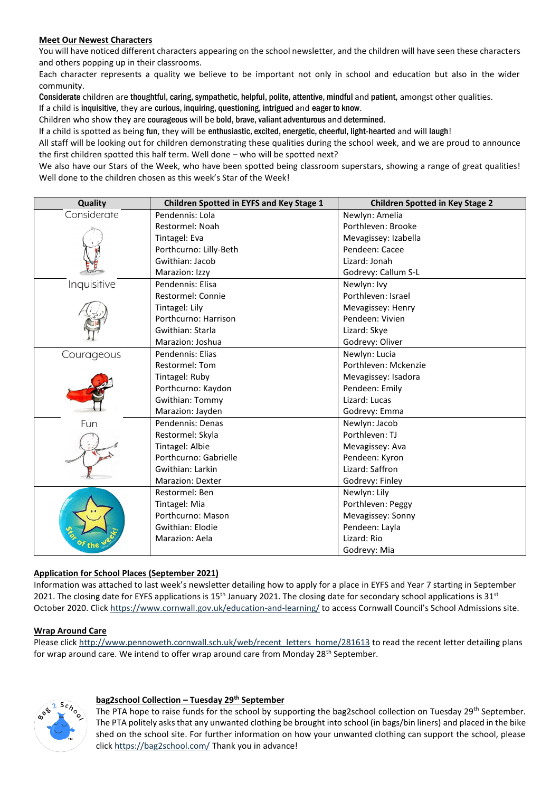# **Meet Our Newest Characters**

You will have noticed different characters appearing on the school newsletter, and the children will have seen these characters and others popping up in their classrooms.

Each character represents a quality we believe to be important not only in school and education but also in the wider community.

Considerate children are thoughtful, caring, sympathetic, helpful, polite, attentive, mindful and patient, amongst other qualities.

If a child is inquisitive, they are curious, inquiring, questioning, intrigued and eager to know.

Children who show they are courageous will be bold, brave, valiant adventurous and determined.

If a child is spotted as being fun, they will be enthusiastic, excited, energetic, cheerful, light-hearted and will laugh!

All staff will be looking out for children demonstrating these qualities during the school week, and we are proud to announce the first children spotted this half term. Well done – who will be spotted next?

We also have our Stars of the Week, who have been spotted being classroom superstars, showing a range of great qualities! Well done to the children chosen as this week's Star of the Week!

| Quality     | <b>Children Spotted in EYFS and Key Stage 1</b> | <b>Children Spotted in Key Stage 2</b> |
|-------------|-------------------------------------------------|----------------------------------------|
| Considerate | Pendennis: Lola                                 | Newlyn: Amelia                         |
|             | Restormel: Noah                                 | Porthleven: Brooke                     |
|             | Tintagel: Eva                                   | Mevagissey: Izabella                   |
|             | Porthcurno: Lilly-Beth                          | Pendeen: Cacee                         |
|             | Gwithian: Jacob                                 | Lizard: Jonah                          |
|             | Marazion: Izzy                                  | Godrevy: Callum S-L                    |
| Inquisitive | Pendennis: Elisa                                | Newlyn: Ivy                            |
|             | Restormel: Connie                               | Porthleven: Israel                     |
|             | Tintagel: Lily                                  | Mevagissey: Henry                      |
|             | Porthcurno: Harrison                            | Pendeen: Vivien                        |
|             | Gwithian: Starla                                | Lizard: Skye                           |
|             | Marazion: Joshua                                | Godrevy: Oliver                        |
| Courageous  | Pendennis: Elias                                | Newlyn: Lucia                          |
|             | <b>Restormel: Tom</b>                           | Porthleven: Mckenzie                   |
|             | Tintagel: Ruby                                  | Mevagissey: Isadora                    |
|             | Porthcurno: Kaydon                              | Pendeen: Emily                         |
|             | <b>Gwithian: Tommy</b>                          | Lizard: Lucas                          |
|             | Marazion: Jayden                                | Godrevy: Emma                          |
| Fun         | Pendennis: Denas                                | Newlyn: Jacob                          |
|             | Restormel: Skyla                                | Porthleven: TJ                         |
|             | Tintagel: Albie                                 | Mevagissey: Ava                        |
|             | Porthcurno: Gabrielle                           | Pendeen: Kyron                         |
|             | Gwithian: Larkin                                | Lizard: Saffron                        |
|             | <b>Marazion: Dexter</b>                         | Godrevy: Finley                        |
| of the      | Restormel: Ben                                  | Newlyn: Lily                           |
|             | Tintagel: Mia                                   | Porthleven: Peggy                      |
|             | Porthcurno: Mason                               | Mevagissey: Sonny                      |
|             | Gwithian: Elodie                                | Pendeen: Layla                         |
|             | Marazion: Aela                                  | Lizard: Rio                            |
|             |                                                 | Godrevy: Mia                           |

# **Application for School Places (September 2021)**

Information was attached to last week's newsletter detailing how to apply for a place in EYFS and Year 7 starting in September 2021. The closing date for EYFS applications is  $15<sup>th</sup>$  January 2021. The closing date for secondary school applications is  $31<sup>st</sup>$ October 2020. Clic[k https://www.cornwall.gov.uk/education-and-learning/](https://www.cornwall.gov.uk/education-and-learning/) to access Cornwall Council's School Admissions site.

# **Wrap Around Care**

Please click [http://www.pennoweth.cornwall.sch.uk/web/recent\\_letters\\_home/281613](http://www.pennoweth.cornwall.sch.uk/web/recent_letters_home/281613) to read the recent letter detailing plans for wrap around care. We intend to offer wrap around care from Monday 28<sup>th</sup> September.



# **bag2school Collection – Tuesday 29th September**

The PTA hope to raise funds for the school by supporting the bag2school collection on Tuesday 29<sup>th</sup> September. The PTA politely asks that any unwanted clothing be brought into school (in bags/bin liners) and placed in the bike shed on the school site. For further information on how your unwanted clothing can support the school, please click<https://bag2school.com/> Thank you in advance!